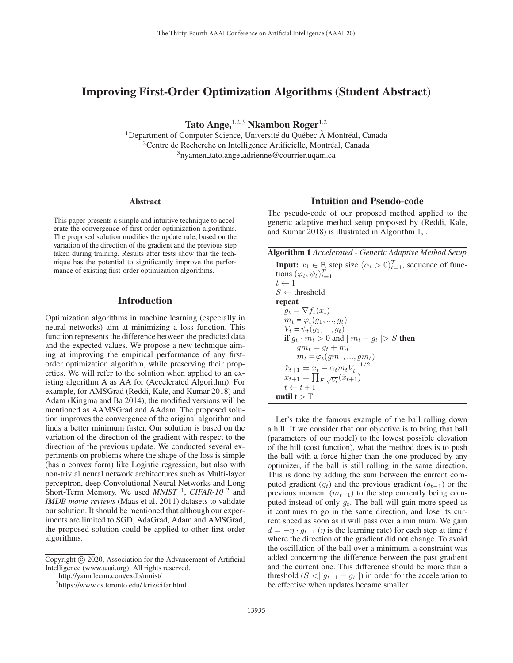# Improving First-Order Optimization Algorithms (Student Abstract)

Tato Ange,  $1,2,3$  Nkambou Roger $1,2$ 

 $1$ Department of Computer Science, Université du Québec  $\hat{A}$  Montréal, Canada  $2$ Centre de Recherche en Intelligence Artificielle, Montréal, Canada 3nyamen tato.ange adrienne@courrier.uqam.ca

#### Abstract

This paper presents a simple and intuitive technique to accelerate the convergence of first-order optimization algorithms. The proposed solution modifies the update rule, based on the variation of the direction of the gradient and the previous step taken during training. Results after tests show that the technique has the potential to significantly improve the performance of existing first-order optimization algorithms.

### Introduction

Optimization algorithms in machine learning (especially in neural networks) aim at minimizing a loss function. This function represents the difference between the predicted data and the expected values. We propose a new technique aiming at improving the empirical performance of any firstorder optimization algorithm, while preserving their properties. We will refer to the solution when applied to an existing algorithm A as AA for (Accelerated Algorithm). For example, for AMSGrad (Reddi, Kale, and Kumar 2018) and Adam (Kingma and Ba 2014), the modified versions will be mentioned as AAMSGrad and AAdam. The proposed solution improves the convergence of the original algorithm and finds a better minimum faster. Our solution is based on the variation of the direction of the gradient with respect to the direction of the previous update. We conducted several experiments on problems where the shape of the loss is simple (has a convex form) like Logistic regression, but also with non-trivial neural network architectures such as Multi-layer perceptron, deep Convolutional Neural Networks and Long Short-Term Memory. We used *MNIST*<sup>1</sup>, *CIFAR-10*<sup>2</sup> and *IMDB movie reviews* (Maas et al. 2011) datasets to validate our solution. It should be mentioned that although our experiments are limited to SGD, AdaGrad, Adam and AMSGrad, the proposed solution could be applied to other first order algorithms.

#### Intuition and Pseudo-code

The pseudo-code of our proposed method applied to the generic adaptive method setup proposed by (Reddi, Kale, and Kumar 2018) is illustrated in Algorithm 1, .

| <b>Algorithm 1</b> Accelerated - Generic Adaptive Method Setup |  |  |  |  |  |
|----------------------------------------------------------------|--|--|--|--|--|
|----------------------------------------------------------------|--|--|--|--|--|

| <b>Input:</b> $x_1 \in F$ , step size $(\alpha_t > 0)_{t=1}^T$ , sequence of func- |
|------------------------------------------------------------------------------------|
| tions $(\varphi_t, \psi_t)_{t=1}^T$                                                |
| $t \leftarrow 1$                                                                   |
| $S \leftarrow$ threshold                                                           |
| repeat                                                                             |
| $q_t = \nabla f_t(x_t)$                                                            |
| $m_t = \varphi_t(q_1, , q_t)$                                                      |
| $V_t = \psi_t(q_1, , q_t)$                                                         |
| <b>if</b> $q_t \cdot m_t > 0$ and $ m_t - q_t  > S$ then                           |
| $qm_t = q_t + m_t$                                                                 |
| $m_t = \varphi_t(gm_1, , gm_t)$                                                    |
| $\hat{x}_{t+1} = x_t - \alpha_t m_t V_t^{-1/2}$                                    |
| $x_{t+1} = \prod_{F,\sqrt{V_t}}(\hat{x}_{t+1})$                                    |
| $t \leftarrow t + 1$                                                               |
| until t $\gt$ T                                                                    |

Let's take the famous example of the ball rolling down a hill. If we consider that our objective is to bring that ball (parameters of our model) to the lowest possible elevation of the hill (cost function), what the method does is to push the ball with a force higher than the one produced by any optimizer, if the ball is still rolling in the same direction. This is done by adding the sum between the current computed gradient  $(q_t)$  and the previous gradient  $(q_{t-1})$  or the previous moment  $(m_{t-1})$  to the step currently being computed instead of only  $q_t$ . The ball will gain more speed as it continues to go in the same direction, and lose its current speed as soon as it will pass over a minimum. We gain  $d = -\eta \cdot q_{t-1}$  ( $\eta$  is the learning rate) for each step at time t where the direction of the gradient did not change. To avoid the oscillation of the ball over a minimum, a constraint was added concerning the difference between the past gradient and the current one. This difference should be more than a threshold ( $S < |g_{t-1} - g_t|$ ) in order for the acceleration to be effective when updates became smaller.

Copyright  $\odot$  2020, Association for the Advancement of Artificial Intelligence (www.aaai.org). All rights reserved.

http://yann.lecun.com/exdb/mnist/

<sup>2</sup> https://www.cs.toronto.edu/ kriz/cifar.html